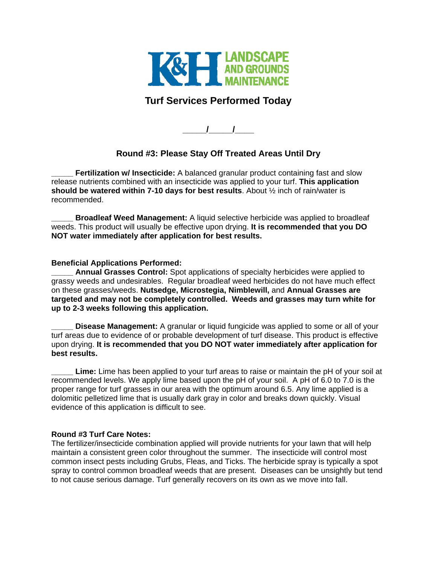

## **Turf Services Performed Today**

**\_\_\_\_\_/\_\_\_\_\_/\_\_\_\_** 

## **Round #3: Please Stay Off Treated Areas Until Dry**

**Fertilization w/ Insecticide:** A balanced granular product containing fast and slow release nutrients combined with an insecticide was applied to your turf. **This application should be watered within 7-10 days for best results**. About ½ inch of rain/water is recommended.

**Broadleaf Weed Management:** A liquid selective herbicide was applied to broadleaf weeds. This product will usually be effective upon drying. **It is recommended that you DO NOT water immediately after application for best results.** 

## **Beneficial Applications Performed:**

Annual Grasses Control: Spot applications of specialty herbicides were applied to grassy weeds and undesirables. Regular broadleaf weed herbicides do not have much effect on these grasses/weeds. **Nutsedge, Microstegia, Nimblewill,** and **Annual Grasses are targeted and may not be completely controlled. Weeds and grasses may turn white for up to 2-3 weeks following this application.** 

**Disease Management:** A granular or liquid fungicide was applied to some or all of your turf areas due to evidence of or probable development of turf disease. This product is effective upon drying. **It is recommended that you DO NOT water immediately after application for best results.** 

**\_\_\_\_\_ Lime:** Lime has been applied to your turf areas to raise or maintain the pH of your soil at recommended levels. We apply lime based upon the pH of your soil. A pH of 6.0 to 7.0 is the proper range for turf grasses in our area with the optimum around 6.5. Any lime applied is a dolomitic pelletized lime that is usually dark gray in color and breaks down quickly. Visual evidence of this application is difficult to see.

## **Round #3 Turf Care Notes:**

The fertilizer/insecticide combination applied will provide nutrients for your lawn that will help maintain a consistent green color throughout the summer. The insecticide will control most common insect pests including Grubs, Fleas, and Ticks. The herbicide spray is typically a spot spray to control common broadleaf weeds that are present. Diseases can be unsightly but tend to not cause serious damage. Turf generally recovers on its own as we move into fall.